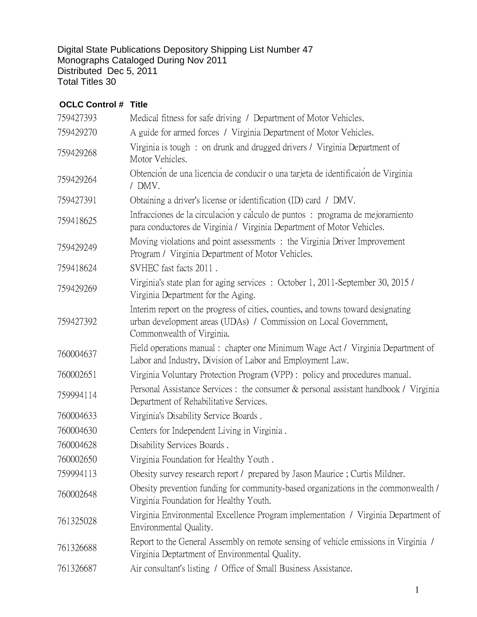Digital State Publications Depository Shipping List Number 47 Monographs Cataloged During Nov 2011 Distributed Dec 5, 2011 Total Titles 30

## **OCLC Control # Title**

| 759427393 | Medical fitness for safe driving / Department of Motor Vehicles.                                                                                                                  |
|-----------|-----------------------------------------------------------------------------------------------------------------------------------------------------------------------------------|
| 759429270 | A guide for armed forces / Virginia Department of Motor Vehicles.                                                                                                                 |
| 759429268 | Virginia is tough: on drunk and drugged drivers / Virginia Department of<br>Motor Vehicles.                                                                                       |
| 759429264 | Obtención de una licencia de conducir o una tarjeta de identificaión de Virginia<br>/ DMV.                                                                                        |
| 759427391 | Obtaining a driver's license or identification (ID) card / DMV.                                                                                                                   |
| 759418625 | Infracciones de la circulación y cálculo de puntos : programa de mejoramiento<br>para conductores de Virginia / Virginia Department of Motor Vehicles.                            |
| 759429249 | Moving violations and point assessments : the Virginia Driver Improvement<br>Program / Virginia Department of Motor Vehicles.                                                     |
| 759418624 | SVHEC fast facts 2011.                                                                                                                                                            |
| 759429269 | Virginia's state plan for aging services : October 1, 2011-September 30, 2015 /<br>Virginia Department for the Aging.                                                             |
| 759427392 | Interim report on the progress of cities, counties, and towns toward designating<br>urban development areas (UDAs) / Commission on Local Government,<br>Commonwealth of Virginia. |
| 760004637 | Field operations manual: chapter one Minimum Wage Act / Virginia Department of<br>Labor and Industry, Division of Labor and Employment Law.                                       |
| 760002651 | Virginia Voluntary Protection Program (VPP) : policy and procedures manual.                                                                                                       |
| 759994114 | Personal Assistance Services : the consumer & personal assistant handbook / Virginia<br>Department of Rehabilitative Services.                                                    |
| 760004633 | Virginia's Disability Service Boards.                                                                                                                                             |
| 760004630 | Centers for Independent Living in Virginia.                                                                                                                                       |
| 760004628 | Disability Services Boards.                                                                                                                                                       |
| 760002650 | Virginia Foundation for Healthy Youth.                                                                                                                                            |
| 759994113 | Obesity survey research report / prepared by Jason Maurice; Curtis Mildner.                                                                                                       |
| 760002648 | Obesity prevention funding for community-based organizations in the commonwealth /<br>Virginia Foundation for Healthy Youth.                                                      |
| 761325028 | Virginia Environmental Excellence Program implementation / Virginia Department of<br>Environmental Quality.                                                                       |
| 761326688 | Report to the General Assembly on remote sensing of vehicle emissions in Virginia /<br>Virginia Deptartment of Environmental Quality.                                             |
| 761326687 | Air consultant's listing / Office of Small Business Assistance.                                                                                                                   |